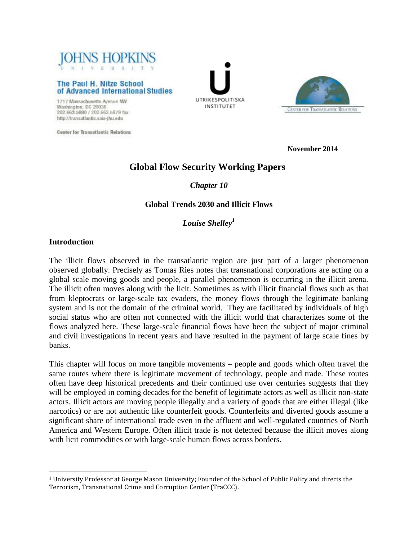

#### The Paul H. Nitze School of Advanced International Studies

1717 Massachusetts Avenue NW Washington, DC 20036 202.663.5880 / 202.663.5879 fax http://transatlantic.sais-ihu.edu

**Center for Transatlantic Relations** 

**UTRIKESPOLITISKA** INSTITUTET



**November 2014**

## **Global Flow Security Working Papers**

#### *Chapter 10*

#### **Global Trends 2030 and Illicit Flows**

*Louise Shelley<sup>1</sup>*

#### **Introduction**

 $\overline{\phantom{0}}$ 

The illicit flows observed in the transatlantic region are just part of a larger phenomenon observed globally. Precisely as Tomas Ries notes that transnational corporations are acting on a global scale moving goods and people, a parallel phenomenon is occurring in the illicit arena. The illicit often moves along with the licit. Sometimes as with illicit financial flows such as that from kleptocrats or large-scale tax evaders, the money flows through the legitimate banking system and is not the domain of the criminal world. They are facilitated by individuals of high social status who are often not connected with the illicit world that characterizes some of the flows analyzed here. These large-scale financial flows have been the subject of major criminal and civil investigations in recent years and have resulted in the payment of large scale fines by banks.

This chapter will focus on more tangible movements – people and goods which often travel the same routes where there is legitimate movement of technology, people and trade. These routes often have deep historical precedents and their continued use over centuries suggests that they will be employed in coming decades for the benefit of legitimate actors as well as illicit non-state actors. Illicit actors are moving people illegally and a variety of goods that are either illegal (like narcotics) or are not authentic like counterfeit goods. Counterfeits and diverted goods assume a significant share of international trade even in the affluent and well-regulated countries of North America and Western Europe. Often illicit trade is not detected because the illicit moves along with licit commodities or with large-scale human flows across borders.

<sup>1</sup> University Professor at George Mason University; Founder of the School of Public Policy and directs the Terrorism, Transnational Crime and Corruption Center (TraCCC).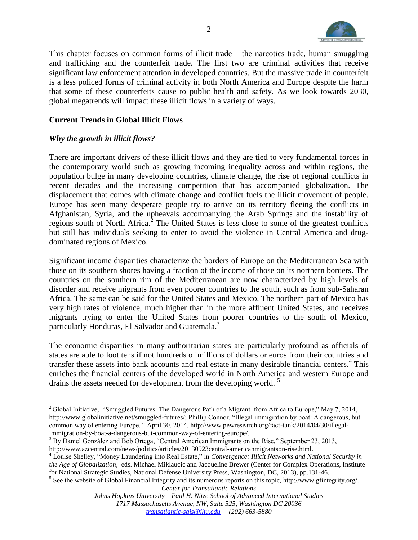

This chapter focuses on common forms of illicit trade – the narcotics trade, human smuggling and trafficking and the counterfeit trade. The first two are criminal activities that receive significant law enforcement attention in developed countries. But the massive trade in counterfeit is a less policed forms of criminal activity in both North America and Europe despite the harm that some of these counterfeits cause to public health and safety. As we look towards 2030, global megatrends will impact these illicit flows in a variety of ways.

## **Current Trends in Global Illicit Flows**

## *Why the growth in illicit flows?*

 $\overline{\phantom{0}}$ 

There are important drivers of these illicit flows and they are tied to very fundamental forces in the contemporary world such as growing incoming inequality across and within regions, the population bulge in many developing countries, climate change, the rise of regional conflicts in recent decades and the increasing competition that has accompanied globalization. The displacement that comes with climate change and conflict fuels the illicit movement of people. Europe has seen many desperate people try to arrive on its territory fleeing the conflicts in Afghanistan, Syria, and the upheavals accompanying the Arab Springs and the instability of regions south of North Africa. $2$  The United States is less close to some of the greatest conflicts but still has individuals seeking to enter to avoid the violence in Central America and drugdominated regions of Mexico.

Significant income disparities characterize the borders of Europe on the Mediterranean Sea with those on its southern shores having a fraction of the income of those on its northern borders. The countries on the southern rim of the Mediterranean are now characterized by high levels of disorder and receive migrants from even poorer countries to the south, such as from sub-Saharan Africa. The same can be said for the United States and Mexico. The northern part of Mexico has very high rates of violence, much higher than in the more affluent United States, and receives migrants trying to enter the United States from poorer countries to the south of Mexico, particularly Honduras, El Salvador and Guatemala.<sup>3</sup>

The economic disparities in many authoritarian states are particularly profound as officials of states are able to loot tens if not hundreds of millions of dollars or euros from their countries and transfer these assets into bank accounts and real estate in many desirable financial centers.<sup>4</sup> This enriches the financial centers of the developed world in North America and western Europe and drains the assets needed for development from the developing world.<sup>5</sup>

*1717 Massachusetts Avenue, NW, Suite 525, Washington DC 20036*

<sup>&</sup>lt;sup>2</sup> Global Initiative, "Smuggled Futures: The Dangerous Path of a Migrant from Africa to Europe," May 7, 2014, [http://www.globalinitiative.net/smuggled-futures/;](http://www.globalinitiative.net/smuggled-futures/) Phillip Connor, "Illegal immigration by boat: A dangerous, but common way of entering Europe, " April 30, 2014, http://www.pewresearch.org/fact-tank/2014/04/30/illegalimmigration-by-boat-a-dangerous-but-common-way-of-entering-europe/.

<sup>3</sup> By Daniel González and Bob Ortega, "Central American Immigrants on the Rise," September 23, 2013,

http://www.azcentral.com/news/politics/articles/20130923central-americanmigrantson-rise.html.

<sup>4</sup> Louise Shelley, "Money Laundering into Real Estate," in *Convergence: Illicit Networks and National Security in the Age of Globalization,* eds. Michael Miklaucic and Jacqueline Brewer (Center for Complex Operations, Institute for National Strategic Studies, National Defense University Press, Washington, DC, 2013), pp.131-46.

*Center for Transatlantic Relations* <sup>5</sup> See the website of Global Financial Integrity and its numerous reports on this topic, http://www.gfintegrity.org/.

*Johns Hopkins University – Paul H. Nitze School of Advanced International Studies*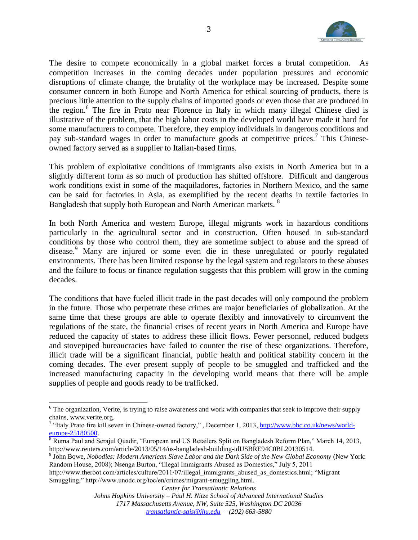

The desire to compete economically in a global market forces a brutal competition. As competition increases in the coming decades under population pressures and economic disruptions of climate change, the brutality of the workplace may be increased. Despite some consumer concern in both Europe and North America for ethical sourcing of products, there is precious little attention to the supply chains of imported goods or even those that are produced in the region.<sup>6</sup> The fire in Prato near Florence in Italy in which many illegal Chinese died is illustrative of the problem, that the high labor costs in the developed world have made it hard for some manufacturers to compete. Therefore, they employ individuals in dangerous conditions and pay sub-standard wages in order to manufacture goods at competitive prices.<sup>7</sup> This Chineseowned factory served as a supplier to Italian-based firms.

This problem of exploitative conditions of immigrants also exists in North America but in a slightly different form as so much of production has shifted offshore. Difficult and dangerous work conditions exist in some of the maquiladores, factories in Northern Mexico, and the same can be said for factories in Asia, as exemplified by the recent deaths in textile factories in Bangladesh that supply both European and North American markets.<sup>8</sup>

In both North America and western Europe, illegal migrants work in hazardous conditions particularly in the agricultural sector and in construction. Often housed in sub-standard conditions by those who control them, they are sometime subject to abuse and the spread of disease.<sup>9</sup> Many are injured or some even die in these unregulated or poorly regulated environments. There has been limited response by the legal system and regulators to these abuses and the failure to focus or finance regulation suggests that this problem will grow in the coming decades.

The conditions that have fueled illicit trade in the past decades will only compound the problem in the future. Those who perpetrate these crimes are major beneficiaries of globalization. At the same time that these groups are able to operate flexibly and innovatively to circumvent the regulations of the state, the financial crises of recent years in North America and Europe have reduced the capacity of states to address these illicit flows. Fewer personnel, reduced budgets and stovepiped bureaucracies have failed to counter the rise of these organizations. Therefore, illicit trade will be a significant financial, public health and political stability concern in the coming decades. The ever present supply of people to be smuggled and trafficked and the increased manufacturing capacity in the developing world means that there will be ample supplies of people and goods ready to be trafficked.

 $\overline{\phantom{0}}$ 

*Center for Transatlantic Relations*

*1717 Massachusetts Avenue, NW, Suite 525, Washington DC 20036*

 $6$  The organization, Verite, is trying to raise awareness and work with companies that seek to improve their supply chains, www.verite.org.<br><sup>7</sup> "Italy Prato fire kill seven in Chinese-owned factory," , December 1, 2013, <u>http://www.bbc.co.uk/news/world-</u>

[europe-25180500.](http://www.bbc.co.uk/news/world-europe-25180500)

<sup>8</sup> Ruma Paul and Serajul Quadir, "European and US Retailers Split on Bangladesh Reform Plan," March 14, 2013, http://www.reuters.com/article/2013/05/14/us-bangladesh-building-idUSBRE94C0BL20130514.

<sup>9</sup> John Bowe, *Nobodies: Modern American Slave Labor and the Dark Side of the New Global Economy* (New York: Random House, 2008); Nsenga Burton, "Illegal Immigrants Abused as Domestics," July 5, 2011

http://www.theroot.com/articles/culture/2011/07/illegal\_immigrants\_abused\_as\_domestics.html; "Migrant Smuggling," http://www.unodc.org/toc/en/crimes/migrant-smuggling.html.

*Johns Hopkins University – Paul H. Nitze School of Advanced International Studies*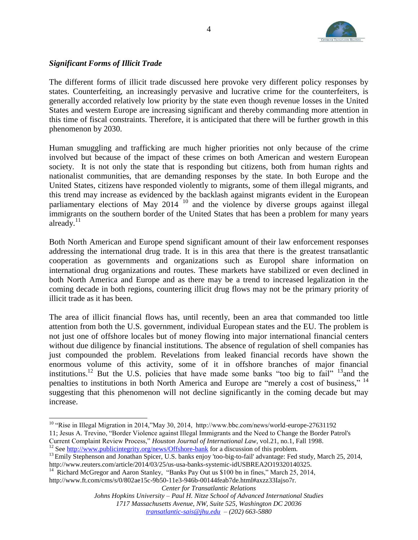

# *Significant Forms of Illicit Trade*

 $\overline{a}$ 

The different forms of illicit trade discussed here provoke very different policy responses by states. Counterfeiting, an increasingly pervasive and lucrative crime for the counterfeiters, is generally accorded relatively low priority by the state even though revenue losses in the United States and western Europe are increasing significant and thereby commanding more attention in this time of fiscal constraints. Therefore, it is anticipated that there will be further growth in this phenomenon by 2030.

Human smuggling and trafficking are much higher priorities not only because of the crime involved but because of the impact of these crimes on both American and western European society. It is not only the state that is responding but citizens, both from human rights and nationalist communities, that are demanding responses by the state. In both Europe and the United States, citizens have responded violently to migrants, some of them illegal migrants, and this trend may increase as evidenced by the backlash against migrants evident in the European parliamentary elections of May 2014<sup>10</sup> and the violence by diverse groups against illegal immigrants on the southern border of the United States that has been a problem for many years already.<sup>11</sup>

Both North American and Europe spend significant amount of their law enforcement responses addressing the international drug trade. It is in this area that there is the greatest transatlantic cooperation as governments and organizations such as Europol share information on international drug organizations and routes. These markets have stabilized or even declined in both North America and Europe and as there may be a trend to increased legalization in the coming decade in both regions, countering illicit drug flows may not be the primary priority of illicit trade as it has been.

The area of illicit financial flows has, until recently, been an area that commanded too little attention from both the U.S. government, individual European states and the EU. The problem is not just one of offshore locales but of money flowing into major international financial centers without due diligence by financial institutions. The absence of regulation of shell companies has just compounded the problem. Revelations from leaked financial records have shown the enormous volume of this activity, some of it in offshore branches of major financial institutions.<sup>12</sup> But the U.S. policies that have made some banks "too big to fail"  $^{13}$  and the penalties to institutions in both North America and Europe are "merely a cost of business," <sup>14</sup> suggesting that this phenomenon will not decline significantly in the coming decade but may increase.

*Center for Transatlantic Relations*

<sup>&</sup>lt;sup>10</sup> "Rise in Illegal Migration in 2014, "May 30, 2014, http://www.bbc.com/news/world-europe-27631192 11; Jesus A. Trevino, "Border Violence against Illegal Immigrants and the Need to Change the Border Patrol's Current Complaint Review Process," *Houston Journal of International Law*, vol.21, no.1, Fall 1998.

<sup>&</sup>lt;sup>12</sup> See<http://www.publicintegrity.org/news/Offshore-bank> for a discussion of this problem.

<sup>&</sup>lt;sup>13</sup> Emily Stephenson and Jonathan Spicer, U.S. banks enjoy 'too-big-to-fail' advantage: Fed study, March 25, 2014,

http://www.reuters.com/article/2014/03/25/us-usa-banks-systemic-idUSBREA2O19320140325.<br><sup>14</sup> Richard McGregor and Aaron Stanley, "Banks Pay Out us \$100 bn in fines," March 25, 2014,

http://www.ft.com/cms/s/0/802ae15c-9b50-11e3-946b-00144feab7de.html#axzz33Iajso7r.

*Johns Hopkins University – Paul H. Nitze School of Advanced International Studies*

*<sup>1717</sup> Massachusetts Avenue, NW, Suite 525, Washington DC 20036*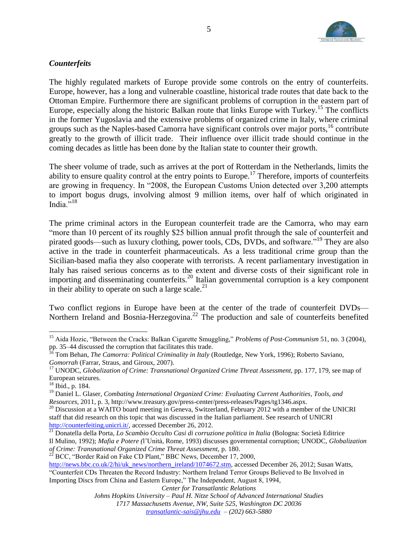

# *Counterfeits*

The highly regulated markets of Europe provide some controls on the entry of counterfeits. Europe, however, has a long and vulnerable coastline, historical trade routes that date back to the Ottoman Empire. Furthermore there are significant problems of corruption in the eastern part of Europe, especially along the historic Balkan route that links Europe with Turkey.<sup>15</sup> The conflicts in the former Yugoslavia and the extensive problems of organized crime in Italy, where criminal groups such as the Naples-based Camorra have significant controls over major ports, $16$  contribute greatly to the growth of illicit trade. Their influence over illicit trade should continue in the coming decades as little has been done by the Italian state to counter their growth.

The sheer volume of trade, such as arrives at the port of Rotterdam in the Netherlands, limits the ability to ensure quality control at the entry points to Europe.<sup>17</sup> Therefore, imports of counterfeits are growing in frequency. In "2008, the European Customs Union detected over 3,200 attempts to import bogus drugs, involving almost 9 million items, over half of which originated in India $^{18}$ 

The prime criminal actors in the European counterfeit trade are the Camorra, who may earn "more than 10 percent of its roughly \$25 billion annual profit through the sale of counterfeit and pirated goods––such as luxury clothing, power tools, CDs, DVDs, and software."<sup>19</sup> They are also active in the trade in counterfeit pharmaceuticals. As a less traditional crime group than the Sicilian-based mafia they also cooperate with terrorists. A recent parliamentary investigation in Italy has raised serious concerns as to the extent and diverse costs of their significant role in importing and disseminating counterfeits.<sup>20</sup> Italian governmental corruption is a key component in their ability to operate on such a large scale. $^{21}$ 

Two conflict regions in Europe have been at the center of the trade of counterfeit DVDs–– Northern Ireland and Bosnia-Herzegovina.<sup>22</sup> The production and sale of counterfeits benefited

l <sup>15</sup> Aida Hozic, "Between the Cracks: Balkan Cigarette Smuggling," *Problems of Post-Communism* 51, no. 3 (2004), pp. 35–44 discussed the corruption that facilitates this trade.

<sup>16</sup> Tom Behan, *The Camorra: Political Criminality in Italy* (Routledge, New York, 1996); Roberto Saviano, *Gomorrah* (Farrar, Straus, and Giroux, 2007).

<sup>17</sup> UNODC, *Globalization of Crime: Transnational Organized Crime Threat Assessment,* pp. 177, 179, see map of European seizures.

<sup>18</sup> Ibid., p. 184.

<sup>19</sup> Daniel L. Glaser, *Combating International Organized Crime: Evaluating Current Authorities, Tools, and Resources*, 2011, p. 3, http://www.treasury.gov/press-center/press-releases/Pages/tg1346.aspx.

 $^{20}$  Discussion at a WAITO board meeting in Geneva, Switzerland, February 2012 with a member of the UNICRI staff that did research on this topic that was discussed in the Italian parliament. See research of UNICRI [http://counterfeiting.unicri.it/,](http://counterfeiting.unicri.it/) accessed December 26, 2012.

<sup>21</sup> Donatella della Porta, *Lo Scambio Occulto Casi di corruzione politica in Italia* (Bologna: Società Editrice Il Mulino, 1992); *Mafia e Potere (*l'Unità, Rome, 1993) discusses governmental corruption; UNODC, *Globalization of Crime: Transnational Organized Crime Threat Assessment,* p. 180.

 $22^{22}$  BCC, "Border Raid on Fake CD Plant," BBC News, December 17, 2000,

[http://news.bbc.co.uk/2/hi/uk\\_news/northern\\_ireland/1074672.stm,](http://news.bbc.co.uk/2/hi/uk_news/northern_ireland/1074672.stm) accessed December 26, 2012; Susan Watts, "Counterfeit CDs Threaten the Record Industry: Northern Ireland Terror Groups Believed to Be Involved in Importing Discs from China and Eastern Europe," The Independent, August 8, 1994,

*Center for Transatlantic Relations*

*Johns Hopkins University – Paul H. Nitze School of Advanced International Studies*

*<sup>1717</sup> Massachusetts Avenue, NW, Suite 525, Washington DC 20036*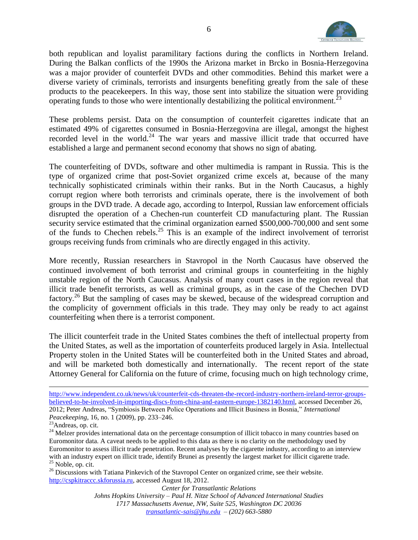

both republican and loyalist paramilitary factions during the conflicts in Northern Ireland. During the Balkan conflicts of the 1990s the Arizona market in Brcko in Bosnia-Herzegovina was a major provider of counterfeit DVDs and other commodities. Behind this market were a diverse variety of criminals, terrorists and insurgents benefiting greatly from the sale of these products to the peacekeepers. In this way, those sent into stabilize the situation were providing operating funds to those who were intentionally destabilizing the political environment.<sup>23</sup>

These problems persist. Data on the consumption of counterfeit cigarettes indicate that an estimated 49% of cigarettes consumed in Bosnia-Herzegovina are illegal, amongst the highest recorded level in the world.<sup>24</sup> The war years and massive illicit trade that occurred have established a large and permanent second economy that shows no sign of abating.

The counterfeiting of DVDs, software and other multimedia is rampant in Russia. This is the type of organized crime that post-Soviet organized crime excels at, because of the many technically sophisticated criminals within their ranks. But in the North Caucasus, a highly corrupt region where both terrorists and criminals operate, there is the involvement of both groups in the DVD trade. A decade ago, according to Interpol, Russian law enforcement officials disrupted the operation of a Chechen-run counterfeit CD manufacturing plant. The Russian security service estimated that the criminal organization earned \$500,000-700,000 and sent some of the funds to Chechen rebels.<sup>25</sup> This is an example of the indirect involvement of terrorist groups receiving funds from criminals who are directly engaged in this activity.

More recently, Russian researchers in Stavropol in the North Caucasus have observed the continued involvement of both terrorist and criminal groups in counterfeiting in the highly unstable region of the North Caucasus. Analysis of many court cases in the region reveal that illicit trade benefit terrorists, as well as criminal groups, as in the case of the Chechen DVD factory.<sup>26</sup> But the sampling of cases may be skewed, because of the widespread corruption and the complicity of government officials in this trade. They may only be ready to act against counterfeiting when there is a terrorist component.

The illicit counterfeit trade in the United States combines the theft of intellectual property from the United States, as well as the importation of counterfeits produced largely in Asia. Intellectual Property stolen in the United States will be counterfeited both in the United States and abroad, and will be marketed both domestically and internationally. The recent report of the state Attorney General for California on the future of crime, focusing much on high technology crime,

 $\overline{a}$ 

*Center for Transatlantic Relations Johns Hopkins University – Paul H. Nitze School of Advanced International Studies 1717 Massachusetts Avenue, NW, Suite 525, Washington DC 20036 [transatlantic-sais@jhu.edu](mailto:transatlantic-sais@jhu.edu) – (202) 663-5880*

[http://www.independent.co.uk/news/uk/counterfeit-cds-threaten-the-record-industry-northern-ireland-terror-groups](http://www.independent.co.uk/news/uk/counterfeit-cds-threaten-the-record-industry-northern-ireland-terror-groups-believed-to-be-involved-in-importing-discs-from-china-and-eastern-europe-1382140.html)[believed-to-be-involved-in-importing-discs-from-china-and-eastern-europe-1382140.html,](http://www.independent.co.uk/news/uk/counterfeit-cds-threaten-the-record-industry-northern-ireland-terror-groups-believed-to-be-involved-in-importing-discs-from-china-and-eastern-europe-1382140.html) accessed December 26, 2012; Peter Andreas, "Symbiosis Between Police Operations and Illicit Business in Bosnia," *International Peacekeeping,* 16, no. 1 (2009), pp. 233–246.

<sup>&</sup>lt;sup>23</sup>Andreas, op. cit.

<sup>&</sup>lt;sup>24</sup> Melzer provides international data on the percentage consumption of illicit tobacco in many countries based on Euromonitor data. A caveat needs to be applied to this data as there is no clarity on the methodology used by Euromonitor to assess illicit trade penetration. Recent analyses by the cigarette industry, according to an interview with an industry expert on illicit trade, identify Brunei as presently the largest market for illicit cigarette trade.  $25$  Noble, op. cit.

<sup>&</sup>lt;sup>26</sup> Discussions with Tatiana Pinkevich of the Stavropol Center on organized crime, see their website. [http://cspkitraccc.skforussia.ru,](http://cspkitraccc.skforussia.ru/) accessed August 18, 2012.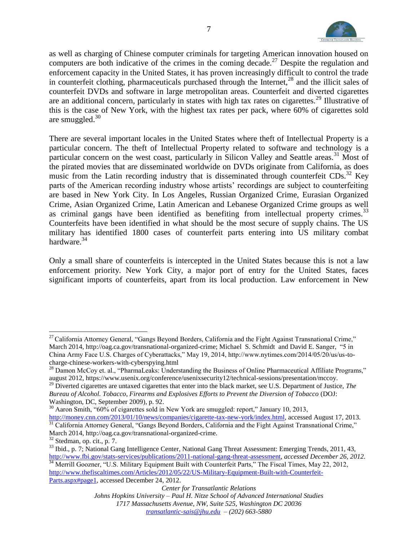

as well as charging of Chinese computer criminals for targeting American innovation housed on computers are both indicative of the crimes in the coming decade.<sup>27</sup> Despite the regulation and enforcement capacity in the United States, it has proven increasingly difficult to control the trade in counterfeit clothing, pharmaceuticals purchased through the Internet,<sup>28</sup> and the illicit sales of counterfeit DVDs and software in large metropolitan areas. Counterfeit and diverted cigarettes are an additional concern, particularly in states with high tax rates on cigarettes.<sup>29</sup> Illustrative of this is the case of New York, with the highest tax rates per pack, where 60% of cigarettes sold are smuggled. $30$ 

There are several important locales in the United States where theft of Intellectual Property is a particular concern. The theft of Intellectual Property related to software and technology is a particular concern on the west coast, particularly in Silicon Valley and Seattle areas.<sup>31</sup> Most of the pirated movies that are disseminated worldwide on DVDs originate from California, as does music from the Latin recording industry that is disseminated through counterfeit CDs.<sup>32</sup> Key parts of the American recording industry whose artists' recordings are subject to counterfeiting are based in New York City. In Los Angeles, Russian Organized Crime, Eurasian Organized Crime, Asian Organized Crime, Latin American and Lebanese Organized Crime groups as well as criminal gangs have been identified as benefiting from intellectual property crimes.<sup>33</sup> Counterfeits have been identified in what should be the most secure of supply chains. The US military has identified 1800 cases of counterfeit parts entering into US military combat hardware<sup>34</sup>

Only a small share of counterfeits is intercepted in the United States because this is not a law enforcement priority. New York City, a major port of entry for the United States, faces significant imports of counterfeits, apart from its local production. Law enforcement in New

l

*Center for Transatlantic Relations*

<sup>&</sup>lt;sup>27</sup> California Attorney General, "Gangs Beyond Borders, California and the Fight Against Transnational Crime," March 2014[, http://oag.ca.gov/transnational-organized-crime;](http://oag.ca.gov/transnational-organized-crime) Michael S. Schmidt and David E. Sanger, "5 in China Army Face U.S. Charges of Cyberattacks," May 19, 2014, http://www.nytimes.com/2014/05/20/us/us-tocharge-chinese-workers-with-cyberspying.html

<sup>&</sup>lt;sup>28</sup> Damon McCoy et. al., "PharmaLeaks: Understanding the Business of Online Pharmaceutical Affiliate Programs," august 2012, https://www.usenix.org/conference/usenixsecurity12/technical-sessions/presentation/mccoy.

<sup>&</sup>lt;sup>29</sup> Diverted cigarettes are untaxed cigarettes that enter into the black market, see U.S. Department of Justice, *The Bureau of Alcohol. Tobacco, Firearms and Explosives Efforts to Prevent the Diversion of Tobacco* (DOJ: Washington, DC, September 2009), p. 92.

 $\frac{30}{30}$  Aaron Smith, "60% of cigarettes sold in New York are smuggled: report," January 10, 2013,

[http://money.cnn.com/2013/01/10/news/companies/cigarette-tax-new-york/index.html,](http://money.cnn.com/2013/01/10/news/companies/cigarette-tax-new-york/index.html) accessed August 17, 2013. <sup>31</sup> California Attorney General, "Gangs Beyond Borders, California and the Fight Against Transnational Crime," March 2014, [http://oag.ca.gov/transnational-organized-crime.](http://oag.ca.gov/transnational-organized-crime)

 $32$  Stedman, op. cit., p. 7.

<sup>33</sup> Ibid., p. 7; National Gang Intelligence Center, National Gang Threat Assessment: Emerging Trends, 2011, 43, <http://www.fbi.gov/stats-services/publications/2011-national-gang-threat-assessment>*, accessed December 26, 2012.* <sup>34</sup> Merrill Goozner, "U.S. Military Equipment Built with Counterfeit Parts," The Fiscal Times, May 22, 2012, [http://www.thefiscaltimes.com/Articles/2012/05/22/US-Military-Equipment-Built-with-Counterfeit-](http://www.thefiscaltimes.com/Articles/2012/05/22/US-Military-Equipment-Built-with-Counterfeit-Parts.aspx#page1)[Parts.aspx#page1,](http://www.thefiscaltimes.com/Articles/2012/05/22/US-Military-Equipment-Built-with-Counterfeit-Parts.aspx#page1) accessed December 24, 2012.

*Johns Hopkins University – Paul H. Nitze School of Advanced International Studies 1717 Massachusetts Avenue, NW, Suite 525, Washington DC 20036 [transatlantic-sais@jhu.edu](mailto:transatlantic-sais@jhu.edu) – (202) 663-5880*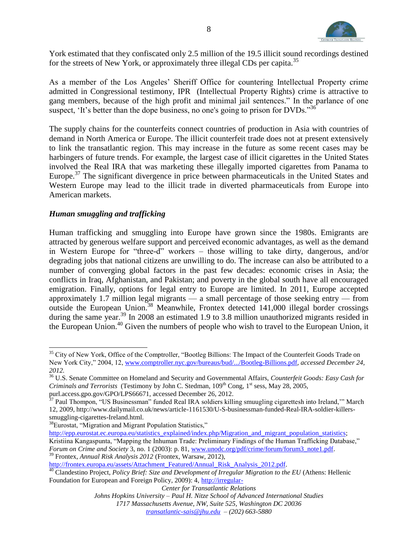

York estimated that they confiscated only 2.5 million of the 19.5 illicit sound recordings destined for the streets of New York, or approximately three illegal CDs per capita.<sup>35</sup>

As a member of the Los Angeles' Sheriff Office for countering Intellectual Property crime admitted in Congressional testimony, IPR (Intellectual Property Rights) crime is attractive to gang members, because of the high profit and minimal jail sentences." In the parlance of one suspect, 'It's better than the dope business, no one's going to prison for DVDs."<sup>36</sup>

The supply chains for the counterfeits connect countries of production in Asia with countries of demand in North America or Europe. The illicit counterfeit trade does not at present extensively to link the transatlantic region. This may increase in the future as some recent cases may be harbingers of future trends. For example, the largest case of illicit cigarettes in the United States involved the Real IRA that was marketing these illegally imported cigarettes from Panama to Europe.<sup>37</sup> The significant divergence in price between pharmaceuticals in the United States and Western Europe may lead to the illicit trade in diverted pharmaceuticals from Europe into American markets.

## *Human smuggling and trafficking*

l

Human trafficking and smuggling into Europe have grown since the 1980s. Emigrants are attracted by generous welfare support and perceived economic advantages, as well as the demand in Western Europe for "three-d" workers – those willing to take dirty, dangerous, and/or degrading jobs that national citizens are unwilling to do. The increase can also be attributed to a number of converging global factors in the past few decades: economic crises in Asia; the conflicts in Iraq, Afghanistan, and Pakistan; and poverty in the global south have all encouraged emigration. Finally, options for legal entry to Europe are limited. In 2011, Europe accepted approximately 1.7 million legal migrants — a small percentage of those seeking entry — from outside the European Union.<sup>38</sup> Meanwhile, Frontex detected 141,000 illegal border crossings during the same year.<sup>39</sup> In 2008 an estimated 1.9 to 3.8 million unauthorized migrants resided in the European Union.<sup>40</sup> Given the numbers of people who wish to travel to the European Union, it

purl.access.gpo.gov/GPO/LPS66671, accessed December 26, 2012.

<sup>38</sup>Eurostat, "Migration and Migrant Population Statistics,"

[http://epp.eurostat.ec.europa.eu/statistics\\_explained/index.php/Migration\\_and\\_migrant\\_population\\_statistics;](http://epp.eurostat.ec.europa.eu/statistics_explained/index.php/Migration_and_migrant_population_statistics) Kristiina Kangaspunta, "Mapping the Inhuman Trade: Preliminary Findings of the Human Trafficking Database," *Forum on Crime and Society* 3, no. 1 (2003): p. 81, [www.unodc.org/pdf/crime/forum/forum3\\_note1.pdf.](http://www.unodc.org/pdf/crime/forum/forum3_note1.pdf) <sup>39</sup> Frontex, *Annual Risk Analysis 2012* (Frontex, Warsaw, 2012),

<sup>&</sup>lt;sup>35</sup> City of New York, Office of the Comptroller, "Bootleg Billions: The Impact of the Counterfeit Goods Trade on New York City," 2004, 12, [www.comptroller.nyc.gov/bureaus/bud/.../Bootleg-Billions.pdf](http://www.comptroller.nyc.gov/bureaus/bud/.../Bootleg-Billions.pdf)*, accessed December 24, 2012.*

<sup>36</sup> U.S. Senate Committee on Homeland and Security and Governmental Affairs, *Counterfeit Goods: Easy Cash for Criminals and Terrorists* (Testimony by John C. Stedman, 109<sup>th</sup> Cong, 1<sup>st</sup> sess, May 28, 2005,

<sup>&</sup>lt;sup>37</sup> Paul Thompon, "US Businessman" funded Real IRA soldiers killing smuugling cigarettesh into Ireland," March 12, 2009, http://www.dailymail.co.uk/news/article-1161530/U-S-businessman-funded-Real-IRA-soldier-killerssmuggling-cigarettes-Ireland.html.

http://frontex.europa.eu/assets/Attachment\_Featured/Annual\_Risk\_Analysis\_2012.pdf.

<sup>40</sup> Clandestino Project, *Policy Brief: Size and Development of Irregular Migration to the EU* (Athens: Hellenic Foundation for European and Foreign Policy, 2009): 4[, http://irregular-](http://irregular-migration.net/typo3_upload/groups/31/4.Background_Information/4.2.Policy_Briefs_EN/ComparativePolicyBrief_SizeOfIrregularMigration_Clandestino_Nov09_2.pdf)

*Center for Transatlantic Relations Johns Hopkins University – Paul H. Nitze School of Advanced International Studies 1717 Massachusetts Avenue, NW, Suite 525, Washington DC 20036 [transatlantic-sais@jhu.edu](mailto:transatlantic-sais@jhu.edu) – (202) 663-5880*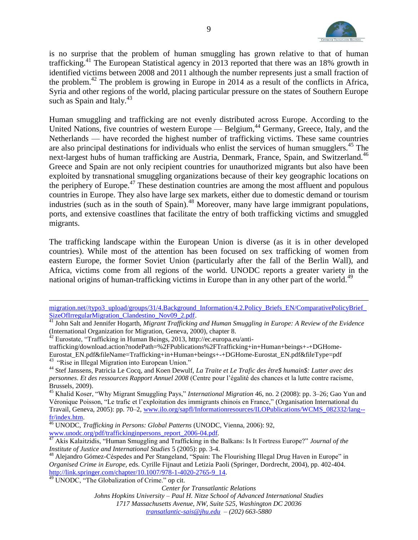

is no surprise that the problem of human smuggling has grown relative to that of human trafficking.<sup>41</sup> The European Statistical agency in 2013 reported that there was an 18% growth in identified victims between 2008 and 2011 although the number represents just a small fraction of the problem.<sup>42</sup> The problem is growing in Europe in 2014 as a result of the conflicts in Africa, Syria and other regions of the world, placing particular pressure on the states of Southern Europe such as Spain and Italy. $43$ 

Human smuggling and trafficking are not evenly distributed across Europe. According to the United Nations, five countries of western Europe — Belgium,<sup>44</sup> Germany, Greece, Italy, and the Netherlands — have recorded the highest number of trafficking victims. These same countries are also principal destinations for individuals who enlist the services of human smugglers.<sup>45</sup> The next-largest hubs of human trafficking are Austria, Denmark, France, Spain, and Switzerland.<sup>46</sup> Greece and Spain are not only recipient countries for unauthorized migrants but also have been exploited by transnational smuggling organizations because of their key geographic locations on the periphery of Europe.<sup>47</sup> These destination countries are among the most affluent and populous countries in Europe. They also have large sex markets, either due to domestic demand or tourism industries (such as in the south of Spain).<sup>48</sup> Moreover, many have large immigrant populations, ports, and extensive coastlines that facilitate the entry of both trafficking victims and smuggled migrants.

The trafficking landscape within the European Union is diverse (as it is in other developed countries). While most of the attention has been focused on sex trafficking of women from eastern Europe, the former Soviet Union (particularly after the fall of the Berlin Wall), and Africa, victims come from all regions of the world. UNODC reports a greater variety in the national origins of human-trafficking victims in Europe than in any other part of the world.<sup>49</sup>

l migration.net//typo3\_upload/groups/31/4.Background\_Information/4.2.Policy\_Briefs\_EN/ComparativePolicyBrief [SizeOfIrregularMigration\\_Clandestino\\_Nov09\\_2.pdf.](http://irregular-migration.net/typo3_upload/groups/31/4.Background_Information/4.2.Policy_Briefs_EN/ComparativePolicyBrief_SizeOfIrregularMigration_Clandestino_Nov09_2.pdf)

<sup>41</sup> John Salt and Jennifer Hogarth, *Migrant Trafficking and Human Smuggling in Europe: A Review of the Evidence* (International Organization for Migration, Geneva, 2000), chapter 8.

 $42$  Eurostate, "Trafficking in Human Beings, 2013, http://ec.europa.eu/anti-

trafficking/download.action?nodePath=%2FPublications%2FTrafficking+in+Human+beings+-+DGHome-Eurostat\_EN.pdf&fileName=Trafficking+in+Human+beings+-+DGHome-Eurostat\_EN.pdf&fileType=pdf <sup>43</sup> "Rise in Illegal Migration into European Union."

<sup>44</sup> Stef Janssens, Patricia Le Cocq, and Koen Dewulf, *La Traite et Le Trafic des être\$ humain\$: Lutter avec des personnes*. *Et des ressources Rapport Annuel 2008* (Centre pour l'égalité des chances et la lutte contre racisme, Brussels, 2009).

<sup>45</sup> Khalid Koser, "Why Migrant Smuggling Pays," *International Migration* 46, no. 2 (2008): pp. 3–26; Gao Yun and Véronique Poisson, "Le trafic et l'exploitation des immigrants chinois en France," (Organisation International du Travail, Geneva, 2005): pp. 70–2, [www.ilo.org/sapfl/Informationresources/ILOPublications/WCMS\\_082332/lang--](http://www.ilo.org/sapfl/Informationresources/ILOPublications/WCMS_082332/lang--fr/index.htm)  $\frac{\text{fr/index.htm}}{46 \text{tmn}}$ .

<sup>46</sup> UNODC, *Trafficking in Persons: Global Patterns* (UNODC, Vienna, 2006): 92, [www.unodc.org/pdf/traffickinginpersons\\_report\\_2006-04.pdf](http://www.unodc.org/pdf/traffickinginpersons_report_2006-04.pdf)*.*

<sup>47</sup> Akis Kalaitzidis, "Human Smuggling and Trafficking in the Balkans: Is It Fortress Europe?" *Journal of the Institute of Justice and International Studies* 5 (2005): pp. 3-4.

<sup>&</sup>lt;sup>48</sup> Alejandro Gómez-Céspedes and Per Stangeland, "Spain: The Flourishing Illegal Drug Haven in Europe" in *Organised Crime in Europe,* eds. Cyrille Fijnaut and Letizia Paoli (Springer, Dordrecht, 2004), pp. 402-404. [http://link.springer.com/chapter/10.1007/978-1-4020-2765-9\\_14.](http://link.springer.com/chapter/10.1007/978-1-4020-2765-9_14)

<sup>&</sup>lt;sup>49</sup> UNODC, "The Globalization of Crime." op cit.

*Center for Transatlantic Relations*

*Johns Hopkins University – Paul H. Nitze School of Advanced International Studies 1717 Massachusetts Avenue, NW, Suite 525, Washington DC 20036 [transatlantic-sais@jhu.edu](mailto:transatlantic-sais@jhu.edu) – (202) 663-5880*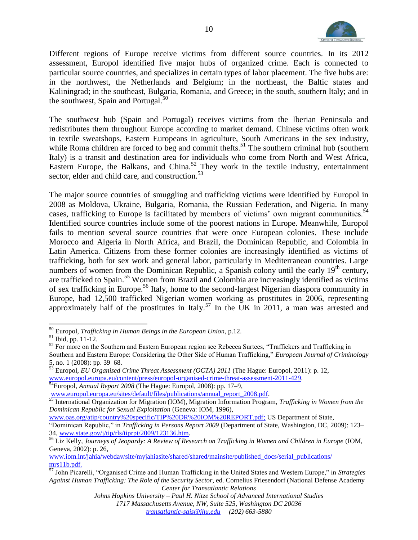

Different regions of Europe receive victims from different source countries. In its 2012 assessment, Europol identified five major hubs of organized crime. Each is connected to particular source countries, and specializes in certain types of labor placement. The five hubs are: in the northwest, the Netherlands and Belgium; in the northeast, the Baltic states and Kaliningrad; in the southeast, Bulgaria, Romania, and Greece; in the south, southern Italy; and in the southwest, Spain and Portugal.<sup>50</sup>

The southwest hub (Spain and Portugal) receives victims from the Iberian Peninsula and redistributes them throughout Europe according to market demand. Chinese victims often work in textile sweatshops, Eastern Europeans in agriculture, South Americans in the sex industry, while Roma children are forced to beg and commit thefts.<sup>51</sup> The southern criminal hub (southern Italy) is a transit and destination area for individuals who come from North and West Africa, Eastern Europe, the Balkans, and China.<sup>52</sup> They work in the textile industry, entertainment sector, elder and child care, and construction.<sup>53</sup>

The major source countries of smuggling and trafficking victims were identified by Europol in 2008 as Moldova, Ukraine, Bulgaria, Romania, the Russian Federation, and Nigeria. In many cases, trafficking to Europe is facilitated by members of victims' own migrant communities.<sup>54</sup> Identified source countries include some of the poorest nations in Europe. Meanwhile, Europol fails to mention several source countries that were once European colonies. These include Morocco and Algeria in North Africa, and Brazil, the Dominican Republic, and Colombia in Latin America. Citizens from these former colonies are increasingly identified as victims of trafficking, both for sex work and general labor, particularly in Mediterranean countries. Large numbers of women from the Dominican Republic, a Spanish colony until the early 19<sup>th</sup> century, are trafficked to Spain.<sup>55</sup> Women from Brazil and Colombia are increasingly identified as victims of sex trafficking in Europe.<sup>56</sup> Italy, home to the second-largest Nigerian diaspora community in Europe, had 12,500 trafficked Nigerian women working as prostitutes in 2006, representing approximately half of the prostitutes in Italy.<sup>57</sup> In the UK in 2011, a man was arrested and

l

<sup>54</sup>Europol, *Annual Report 2008* (The Hague: Europol, 2008): pp. 17–9,

[www.europol.europa.eu/sites/default/files/publications/annual\\_report\\_2008.pdf.](http://www.europol.europa.eu/sites/default/files/publications/annual_report_2008.pdf)

<sup>55</sup> International Organization for Migration (IOM), Migration Information Program, *Trafficking in Women from the Dominican Republic for Sexual Exploitation* (Geneva: IOM, 1996),

[www.oas.org/atip/country%20specific/TIP%20DR%20IOM%20REPORT.pdf;](http://www.oas.org/atip/country%20specific/TIP%20DR%20IOM%20REPORT.pdf) US Department of State,

<sup>56</sup> Liz Kelly*, Journeys of Jeopardy: A Review of Research on Trafficking in Women and Children in Europe* (IOM, Geneva, 2002): p. 26,

[www.iom.int/jahia/webdav/site/myjahiasite/shared/shared/mainsite/published\\_docs/serial\\_publications/](http://www.iom.int/jahia/webdav/site/myjahiasite/shared/shared/mainsite/published_docs/serial_publications/mrs11b.pdf) [mrs11b.pdf.](http://www.iom.int/jahia/webdav/site/myjahiasite/shared/shared/mainsite/published_docs/serial_publications/mrs11b.pdf)

*1717 Massachusetts Avenue, NW, Suite 525, Washington DC 20036*

<sup>50</sup> Europol, *Trafficking in Human Beings in the European Union*, p.12.

<sup>51</sup> Ibid, pp. 11-12.

 $52$  For more on the Southern and Eastern European region see Rebecca Surtees, "Traffickers and Trafficking in

Southern and Eastern Europe: Considering the Other Side of Human Trafficking," *European Journal of Criminology* 5, no. 1 (2008): pp. 39–68.

<sup>53</sup> Europol, *EU Organised Crime Threat Assessment (OCTA) 2011* (The Hague: Europol, 2011): p. 12, [www.europol.europa.eu/content/press/europol-organised-crime-threat-assessment-2011-429.](http://www.europol.europa.eu/content/press/europol-organised-crime-threat-assessment-2011-429)

<sup>&</sup>quot;Dominican Republic," in *Trafficking in Persons Report 2009* (Department of State, Washington, DC, 2009): 123– 34, [www.state.gov/j/tip/rls/tiprpt/2009/123136.htm.](http://www.state.gov/j/tip/rls/tiprpt/2009/123136.htm)

*Center for Transatlantic Relations* <sup>57</sup> John Picarelli, "Organised Crime and Human Trafficking in the United States and Western Europe," in *Strategies Against Human Trafficking: The Role of the Security Sector,* ed. Cornelius Friesendorf (National Defense Academy

*Johns Hopkins University – Paul H. Nitze School of Advanced International Studies*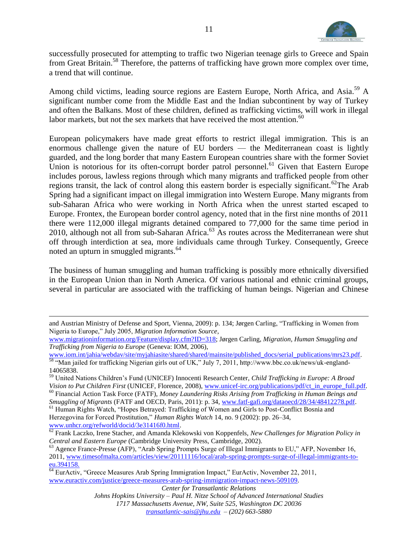

successfully prosecuted for attempting to traffic two Nigerian teenage girls to Greece and Spain from Great Britain.<sup>58</sup> Therefore, the patterns of trafficking have grown more complex over time, a trend that will continue.

Among child victims, leading source regions are Eastern Europe, North Africa, and Asia.<sup>59</sup> A significant number come from the Middle East and the Indian subcontinent by way of Turkey and often the Balkans. Most of these children, defined as trafficking victims, will work in illegal labor markets, but not the sex markets that have received the most attention.<sup>60</sup>

European policymakers have made great efforts to restrict illegal immigration. This is an enormous challenge given the nature of EU borders — the Mediterranean coast is lightly guarded, and the long border that many Eastern European countries share with the former Soviet Union is notorious for its often-corrupt border patrol personnel.<sup>61</sup> Given that Eastern Europe includes porous, lawless regions through which many migrants and trafficked people from other regions transit, the lack of control along this eastern border is especially significant.<sup>62</sup>The Arab Spring had a significant impact on illegal immigration into Western Europe. Many migrants from sub-Saharan Africa who were working in North Africa when the unrest started escaped to Europe. Frontex, the European border control agency, noted that in the first nine months of 2011 there were 112,000 illegal migrants detained compared to 77,000 for the same time period in 2010, although not all from sub-Saharan Africa. $63$  As routes across the Mediterranean were shut off through interdiction at sea, more individuals came through Turkey. Consequently, Greece noted an upturn in smuggled migrants.<sup>64</sup>

The business of human smuggling and human trafficking is possibly more ethnically diversified in the European Union than in North America. Of various national and ethnic criminal groups, several in particular are associated with the trafficking of human beings. Nigerian and Chinese

 $\overline{\phantom{0}}$ 

and Austrian Ministry of Defense and Sport, Vienna, 2009): p. 134; Jørgen Carling, "Trafficking in Women from Nigeria to Europe," July 2005, *Migration Information Source*,

[www.migrationinformation.org/Feature/display.cfm?ID=318;](http://www.migrationinformation.org/Feature/display.cfm?ID=318) Jørgen Carling, *Migration, Human Smuggling and Trafficking from Nigeria to Europe* (Geneva: IOM, 2006),

[www.iom.int/jahia/webdav/site/myjahiasite/shared/shared/mainsite/published\\_docs/serial\\_publications/mrs23.pdf.](http://www.iom.int/jahia/webdav/site/myjahiasite/shared/shared/mainsite/published_docs/serial_publications/mrs23.pdf) <sup>58</sup> "Man jailed for trafficking Nigerian girls out of UK," July 7, 2011, http://www.bbc.co.uk/news/uk-england-14065838.

<sup>59</sup> United Nations Children's Fund (UNICEF) Innocenti Research Center, *Child Trafficking in Europe: A Broad Vision to Put Children First* (UNICEF, Florence, 2008)[, www.unicef-irc.org/publications/pdf/ct\\_in\\_europe\\_full.pdf.](file:///C:/Users/sstanev1/Desktop/AppData/Local/Microsoft/Windows/Temporary%20Internet%20Files/Content.IE5/AppData/Local/Microsoft/Windows/Temporary%20Internet%20Files/Content.Outlook/AppData/Roaming/mmittelstadt.MPI/AppData/Local/Microsoft/Windows/Temporary%20Internet%20Files/Content.Outlook/RJAG0CJJ/www.unicef-irc.org/publications/pdf/ct_in_europe_full.pdf) <sup>60</sup> Financial Action Task Force (FATF), *Money Laundering Risks Arising from Trafficking in Human Beings and* 

*Smuggling of Migrants* (FATF and OECD, Paris, 2011): p. 34, [www.fatf-gafi.org/dataoecd/28/34/48412278.pdf.](http://www.fatf-gafi.org/dataoecd/28/34/48412278.pdf)

<sup>&</sup>lt;sup>61</sup> Human Rights Watch, "Hopes Betrayed: Trafficking of Women and Girls to Post-Conflict Bosnia and Herzegovina for Forced Prostitution," *Human Rights Watch* 14, no. 9 (2002): pp. 26–34, [www.unhcr.org/refworld/docid/3e31416f0.html.](http://www.unhcr.org/refworld/docid/3e31416f0.html)

<sup>62</sup> Frank Laczko, Irene Stacher, and Amanda Klekowski von Koppenfels, *New Challenges for Migration Policy in Central and Eastern Europe* (Cambridge University Press, Cambridge, 2002).

<sup>&</sup>lt;sup>63</sup> Agence France-Presse (AFP), "Arab Spring Prompts Surge of Illegal Immigrants to EU," AFP, November 16, 2011, [www.timesofmalta.com/articles/view/20111116/local/arab-spring-prompts-surge-of-illegal-immigrants-to](http://www.timesofmalta.com/articles/view/20111116/local/arab-spring-prompts-surge-of-illegal-immigrants-to-eu.394158)[eu.394158.](http://www.timesofmalta.com/articles/view/20111116/local/arab-spring-prompts-surge-of-illegal-immigrants-to-eu.394158)

<sup>&</sup>lt;sup>64</sup> EurActiv, "Greece Measures Arab Spring Immigration Impact," EurActiv, November 22, 2011, [www.euractiv.com/justice/greece-measures-arab-spring-immigration-impact-news-509109.](http://www.euractiv.com/justice/greece-measures-arab-spring-immigration-impact-news-509109)

*Center for Transatlantic Relations Johns Hopkins University – Paul H. Nitze School of Advanced International Studies 1717 Massachusetts Avenue, NW, Suite 525, Washington DC 20036 [transatlantic-sais@jhu.edu](mailto:transatlantic-sais@jhu.edu) – (202) 663-5880*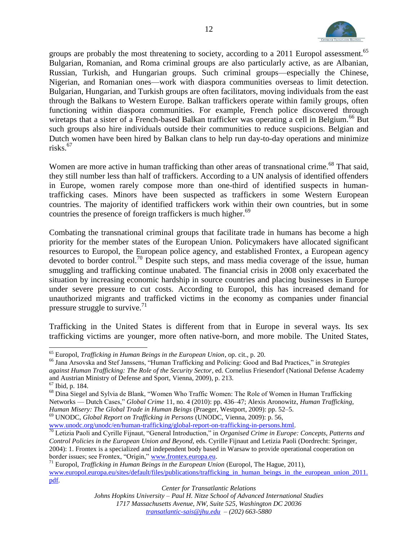

groups are probably the most threatening to society, according to a 2011 Europol assessment.<sup>65</sup> Bulgarian, Romanian, and Roma criminal groups are also particularly active, as are Albanian, Russian, Turkish, and Hungarian groups. Such criminal groups—especially the Chinese, Nigerian, and Romanian ones—work with diaspora communities overseas to limit detection. Bulgarian, Hungarian, and Turkish groups are often facilitators, moving individuals from the east through the Balkans to Western Europe. Balkan traffickers operate within family groups, often functioning within diaspora communities. For example, French police discovered through wiretaps that a sister of a French-based Balkan trafficker was operating a cell in Belgium.<sup>66</sup> But such groups also hire individuals outside their communities to reduce suspicions. Belgian and Dutch women have been hired by Balkan clans to help run day-to-day operations and minimize risks. $67$ 

Women are more active in human trafficking than other areas of transnational crime.<sup>68</sup> That said, they still number less than half of traffickers. According to a UN analysis of identified offenders in Europe, women rarely compose more than one-third of identified suspects in humantrafficking cases. Minors have been suspected as traffickers in some Western European countries. The majority of identified traffickers work within their own countries, but in some countries the presence of foreign traffickers is much higher.<sup>69</sup>

Combating the transnational criminal groups that facilitate trade in humans has become a high priority for the member states of the European Union. Policymakers have allocated significant resources to Europol, the European police agency, and established Frontex, a European agency devoted to border control.<sup>70</sup> Despite such steps, and mass media coverage of the issue, human smuggling and trafficking continue unabated. The financial crisis in 2008 only exacerbated the situation by increasing economic hardship in source countries and placing businesses in Europe under severe pressure to cut costs. According to Europol, this has increased demand for unauthorized migrants and trafficked victims in the economy as companies under financial pressure struggle to survive.<sup>71</sup>

Trafficking in the United States is different from that in Europe in several ways. Its sex trafficking victims are younger, more often native-born, and more mobile. The United States,

<sup>69</sup> UNODC, *Global Report on Trafficking in Persons* (UNODC, Vienna, 2009): p. 56,

[www.unodc.org/unodc/en/human-trafficking/global-report-on-trafficking-in-persons.html.](http://www.unodc.org/unodc/en/human-trafficking/global-report-on-trafficking-in-persons.html)

l <sup>65</sup> Europol, *Trafficking in Human Beings in the European Union*, op. cit., p. 20.

<sup>66</sup> Jana Arsovska and Stef Janssens, "Human Trafficking and Policing: Good and Bad Practices," in *Strategies against Human Trafficking: The Role of the Security Sector*, ed. Cornelius Friesendorf (National Defense Academy and Austrian Ministry of Defense and Sport, Vienna, 2009), p. 213.

<sup>67</sup> Ibid, p. 184.

<sup>&</sup>lt;sup>68</sup> Dina Siegel and Sylvia de Blank, "Women Who Traffic Women: The Role of Women in Human Trafficking Networks — Dutch Cases," *Global Crime* 11, no. 4 (2010): pp. 436–47; Alexis Aronowitz, *Human Trafficking, Human Misery: The Global Trade in Human Beings* (Praeger, Westport, 2009): pp. 52–5.

<sup>70</sup> Letizia Paoli and Cyrille Fijnaut, "General Introduction," in *Organised Crime in Europe: Concepts, Patterns and Control Policies in the European Union and Beyond,* eds. Cyrille Fijnaut and Letizia Paoli (Dordrecht: Springer, 2004): 1. Frontex is a specialized and independent body based in Warsaw to provide operational cooperation on border issues; see Frontex, "Origin," [www.frontex.europa.eu.](http://www.frontex.europa.eu/)

<sup>71</sup> Europol, *Trafficking in Human Beings in the European Union* (Europol, The Hague, 2011), [www.europol.europa.eu/sites/default/files/publications/trafficking\\_in\\_human\\_beings\\_in\\_the\\_european\\_union\\_2011.](http://www.europol.europa.eu/sites/default/files/publications/trafficking_in_human_beings_in_the_european_union_2011.pdf) [pdf.](http://www.europol.europa.eu/sites/default/files/publications/trafficking_in_human_beings_in_the_european_union_2011.pdf)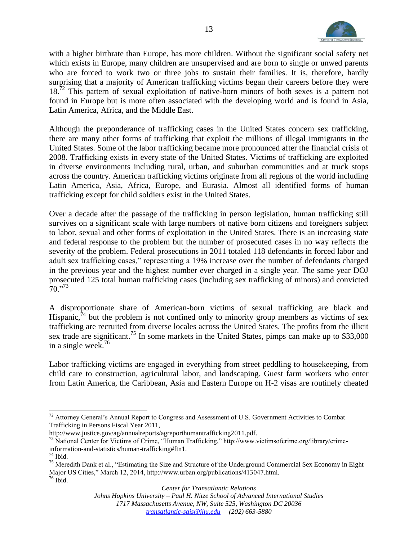

with a higher birthrate than Europe, has more children. Without the significant social safety net which exists in Europe, many children are unsupervised and are born to single or unwed parents who are forced to work two or three jobs to sustain their families. It is, therefore, hardly surprising that a majority of American trafficking victims began their careers before they were  $18<sup>72</sup>$  This pattern of sexual exploitation of native-born minors of both sexes is a pattern not found in Europe but is more often associated with the developing world and is found in Asia, Latin America, Africa, and the Middle East.

Although the preponderance of trafficking cases in the United States concern sex trafficking, there are many other forms of trafficking that exploit the millions of illegal immigrants in the United States. Some of the labor trafficking became more pronounced after the financial crisis of 2008. Trafficking exists in every state of the United States. Victims of trafficking are exploited in diverse environments including rural, urban, and suburban communities and at truck stops across the country. American trafficking victims originate from all regions of the world including Latin America, Asia, Africa, Europe, and Eurasia. Almost all identified forms of human trafficking except for child soldiers exist in the United States.

Over a decade after the passage of the trafficking in person legislation, human trafficking still survives on a significant scale with large numbers of native born citizens and foreigners subject to labor, sexual and other forms of exploitation in the United States. There is an increasing state and federal response to the problem but the number of prosecuted cases in no way reflects the severity of the problem. Federal prosecutions in 2011 totaled 118 defendants in forced labor and adult sex trafficking cases," representing a 19% increase over the number of defendants charged in the previous year and the highest number ever charged in a single year. The same year DOJ prosecuted 125 total human trafficking cases (including sex trafficking of minors) and convicted  $70.^{973}$ 

A disproportionate share of American-born victims of sexual trafficking are black and Hispanic,<sup> $74$ </sup> but the problem is not confined only to minority group members as victims of sex trafficking are recruited from diverse locales across the United States. The profits from the illicit sex trade are significant.<sup>75</sup> In some markets in the United States, pimps can make up to \$33,000 in a single week. $^{76}$ 

Labor trafficking victims are engaged in everything from street peddling to housekeeping, from child care to construction, agricultural labor, and landscaping. Guest farm workers who enter from Latin America, the Caribbean, Asia and Eastern Europe on H-2 visas are routinely cheated

 $\overline{\phantom{0}}$ 

*Center for Transatlantic Relations*

 $72$  Attorney General's Annual Report to Congress and Assessment of U.S. Government Activities to Combat Trafficking in Persons Fiscal Year 2011,

http://www.justice.gov/ag/annualreports/agreporthumantrafficking2011.pdf.

<sup>73</sup> National Center for Victims of Crime, "Human Trafficking," http://www.victimsofcrime.org/library/crimeinformation-and-statistics/human-trafficking#ftn1.

 $74$  Ibid.

<sup>&</sup>lt;sup>75</sup> Meredith Dank et al., "Estimating the Size and Structure of the Underground Commercial Sex Economy in Eight Major US Cities," March 12, 2014, http://www.urban.org/publications/413047.html.

 $76$  Ibid.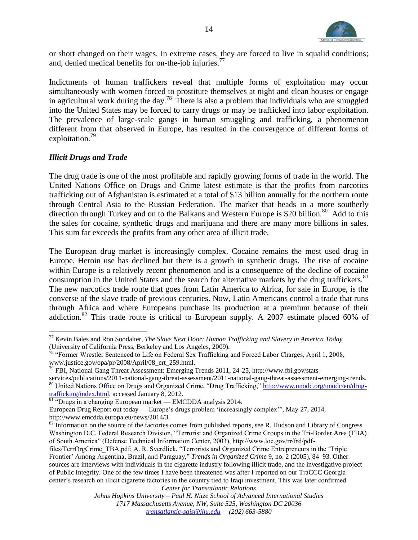

or short changed on their wages. In extreme cases, they are forced to live in squalid conditions; and, denied medical benefits for on-the-job injuries.<sup>77</sup>

Indictments of human traffickers reveal that multiple forms of exploitation may occur simultaneously with women forced to prostitute themselves at night and clean houses or engage in agricultural work during the day.<sup>78</sup> There is also a problem that individuals who are smuggled into the United States may be forced to carry drugs or may be trafficked into labor exploitation. The prevalence of large-scale gangs in human smuggling and trafficking, a phenomenon different from that observed in Europe, has resulted in the convergence of different forms of exploitation.<sup>79</sup>

#### *Illicit Drugs and Trade*

The drug trade is one of the most profitable and rapidly growing forms of trade in the world. The United Nations Office on Drugs and Crime latest estimate is that the profits from narcotics trafficking out of Afghanistan is estimated at a total of \$13 billion annually for the northern route through Central Asia to the Russian Federation. The market that heads in a more southerly direction through Turkey and on to the Balkans and Western Europe is \$20 billion.<sup>80</sup> Add to this the sales for cocaine, synthetic drugs and marijuana and there are many more billions in sales. This sum far exceeds the profits from any other area of illicit trade.

The European drug market is increasingly complex. Cocaine remains the most used drug in Europe. Heroin use has declined but there is a growth in synthetic drugs. The rise of cocaine within Europe is a relatively recent phenomenon and is a consequence of the decline of cocaine consumption in the United States and the search for alternative markets by the drug traffickers.<sup>81</sup> The new narcotics trade route that goes from Latin America to Africa, for sale in Europe, is the converse of the slave trade of previous centuries. Now, Latin Americans control a trade that runs through Africa and where Europeans purchase its production at a premium because of their addiction.<sup>82</sup> This trade route is critical to European supply. A 2007 estimate placed 60% of

*Center for Transatlantic Relations*

*1717 Massachusetts Avenue, NW, Suite 525, Washington DC 20036*

*[transatlantic-sais@jhu.edu](mailto:transatlantic-sais@jhu.edu) – (202) 663-5880*

l <sup>77</sup> Kevin Bales and Ron Soodalter, *The Slave Next Door: Human Trafficking and Slavery in America Today* (University of California Press, Berkeley and Los Angeles, 2009).

<sup>&</sup>lt;sup>78</sup> "Former Wrestler Sentenced to Life on Federal Sex Trafficking and Forced Labor Charges, April 1, 2008, www.justice.gov/opa/pr/2008/April/08\_crt\_259.html.

<sup>79</sup> FBI, National Gang Threat Assessment: Emerging Trends 2011, 24-25, http://www.fbi.gov/stats-

services/publications/2011-national-gang-threat-assessment/2011-national-gang-threat-assessment-emerging-trends. 80 United Nations Office on Drugs and Organized Crime, "Drug Trafficking," [http://www.unodc.org/unodc/en/drug](http://www.unodc.org/unodc/en/drug-trafficking/index.html)[trafficking/index.html,](http://www.unodc.org/unodc/en/drug-trafficking/index.html) accessed January 8, 2012.

 $81$  "Drugs in a changing European market — EMCDDA analysis 2014.

European Drug Report out today — Europe's drugs problem 'increasingly complex'", May 27, 2014, http://www.emcdda.europa.eu/news/2014/3.

 $82$  Information on the source of the factories comes from published reports, see R. Hudson and Library of Congress Washington D.C. Federal Research Division, "Terrorist and Organized Crime Groups in the Tri-Border Area (TBA) of South America" (Defense Technical Information Center, 2003), http://www.loc.gov/rr/frd/pdf-

files/TerrOrgCrime\_TBA.pdf; A. R. Sverdlick, "Terrorists and Organized Crime Entrepreneurs in the 'Triple Frontier' Among Argentina, Brazil, and Paraguay," *Trends in Organized Crime* 9, no. 2 (2005), 84–93. Other sources are interviews with individuals in the cigarette industry following illicit trade, and the investigative project of Public Integrity. One of the few times I have been threatened was after I reported on our TraCCC Georgia center's research on illicit cigarette factories in the country tied to Iraqi investment. This was later confirmed

*Johns Hopkins University – Paul H. Nitze School of Advanced International Studies*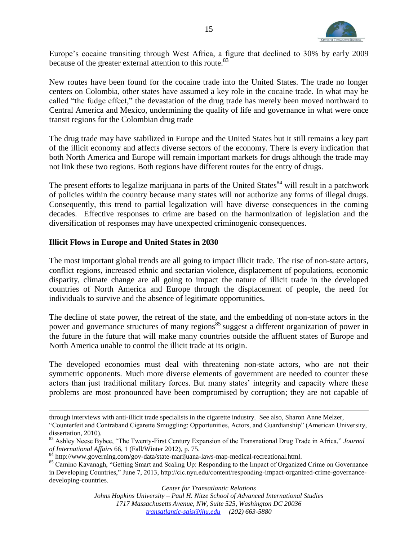

Europe's cocaine transiting through West Africa, a figure that declined to 30% by early 2009 because of the greater external attention to this route.<sup>83</sup>

New routes have been found for the cocaine trade into the United States. The trade no longer centers on Colombia, other states have assumed a key role in the cocaine trade. In what may be called "the fudge effect," the devastation of the drug trade has merely been moved northward to Central America and Mexico, undermining the quality of life and governance in what were once transit regions for the Colombian drug trade

The drug trade may have stabilized in Europe and the United States but it still remains a key part of the illicit economy and affects diverse sectors of the economy. There is every indication that both North America and Europe will remain important markets for drugs although the trade may not link these two regions. Both regions have different routes for the entry of drugs.

The present efforts to legalize marijuana in parts of the United States  $84$  will result in a patchwork of policies within the country because many states will not authorize any forms of illegal drugs. Consequently, this trend to partial legalization will have diverse consequences in the coming decades. Effective responses to crime are based on the harmonization of legislation and the diversification of responses may have unexpected criminogenic consequences.

## **Illicit Flows in Europe and United States in 2030**

 $\overline{\phantom{0}}$ 

The most important global trends are all going to impact illicit trade. The rise of non-state actors, conflict regions, increased ethnic and sectarian violence, displacement of populations, economic disparity, climate change are all going to impact the nature of illicit trade in the developed countries of North America and Europe through the displacement of people, the need for individuals to survive and the absence of legitimate opportunities.

The decline of state power, the retreat of the state, and the embedding of non-state actors in the power and governance structures of many regions<sup>85</sup> suggest a different organization of power in the future in the future that will make many countries outside the affluent states of Europe and North America unable to control the illicit trade at its origin.

The developed economies must deal with threatening non-state actors, who are not their symmetric opponents. Much more diverse elements of government are needed to counter these actors than just traditional military forces. But many states' integrity and capacity where these problems are most pronounced have been compromised by corruption; they are not capable of

*Center for Transatlantic Relations Johns Hopkins University – Paul H. Nitze School of Advanced International Studies 1717 Massachusetts Avenue, NW, Suite 525, Washington DC 20036 [transatlantic-sais@jhu.edu](mailto:transatlantic-sais@jhu.edu) – (202) 663-5880*

through interviews with anti-illicit trade specialists in the cigarette industry. See also, Sharon Anne Melzer,

<sup>&</sup>quot;Counterfeit and Contraband Cigarette Smuggling: Opportunities, Actors, and Guardianship" (American University, dissertation, 2010).

<sup>83</sup> Ashley Neese Bybee, "The Twenty-First Century Expansion of the Transnational Drug Trade in Africa," *Journal of International Affairs* 66, 1 (Fall/Winter 2012), p. 75.

<sup>&</sup>lt;sup>84</sup> http://www.governing.com/gov-data/state-marijuana-laws-map-medical-recreational.html.

<sup>&</sup>lt;sup>85</sup> Camino Kavanagh, "Getting Smart and Scaling Up: Responding to the Impact of Organized Crime on Governance in Developing Countries," June 7, 2013, http://cic.nyu.edu/content/responding-impact-organized-crime-governancedeveloping-countries.